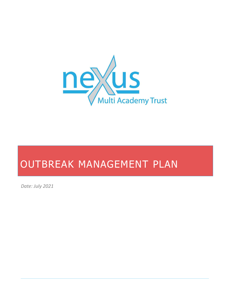

*Date: July 2021*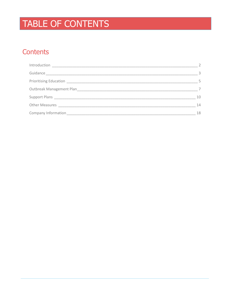# TABLE OF CONTENTS

## Contents

| $\mathcal{L}$ |
|---------------|
| 3             |
| 5.            |
|               |
| 10            |
| 14            |
| 18            |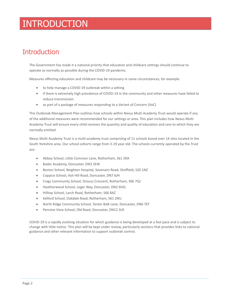## INTRODUCTION

## <span id="page-2-0"></span>**Introduction**

The Government has made it a national priority that education and childcare settings should continue to operate as normally as possible during the COVID-19 pandemic.

Measures affecting education and childcare may be necessary in some circumstances, for example:

- to help manage a COVID-19 outbreak within a setting
- if there is extremely high prevalence of COVID-19 in the community and other measures have failed to reduce transmission
- as part of a package of measures responding to a Variant of Concern (VoC)

This Outbreak Management Plan outlines how schools within Nexus Multi Academy Trust would operate if any of the additional measures were recommended for our settings or area. This plan includes how Nexus Multi Academy Trust will ensure every child receives the quantity and quality of education and care to which they are normally entitled.

Nexus Multi Academy Trust is a multi-academy trust comprising of 11 schools based over 14 sites located in the South Yorkshire area. Our school cohorts range from 3-19 year old. The schools currently operated by the Trust are:

- Abbey School, Little Common Lane, Rotherham, S61 2RA
- Bader Academy, Doncaster, DN3 2EW
- Becton School, Beighton Hospital, Sevenairs Road, Sheffield, S20 1NZ
- Coppice School, Ash Hill Road, Doncaster, DN7 6JH
- Crags Community School, Strauss Crescent, Rotherham, S66 7QJ
- Heatherwood School, Leger Way, Doncaster, DN2 6HQ
- Hilltop School, Larch Road, Rotherham, S66 8AZ
- Kelford School, Oakdale Road, Rotherham, S61 2NU
- North Ridge Community School, Tenter Balk Lane, Doncaster, DN6 7EF
- Pennine View School, Old Road, Doncaster, DN12 3LR

COVID-19 is a rapidly evolving situation for which guidance is being developed at a fast pace and is subject to change with little notice. This plan will be kept under review, particularly sections that provides links to national guidance and other relevant information to support outbreak control.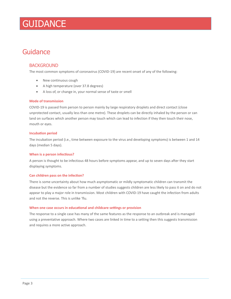## **GUIDANCE**

## <span id="page-3-0"></span>Guidance

### BACKGROUND

The most common symptoms of coronavirus (COVID-19) are recent onset of any of the following:

- New continuous cough
- A high temperature (over 37.8 degrees)
- A loss of, or change in, your normal sense of taste or smell

#### **Mode of transmission**

COVID-19 is passed from person to person mainly by large respiratory droplets and direct contact (close unprotected contact, usually less than one metre). These droplets can be directly inhaled by the person or can land on surfaces which another person may touch which can lead to infection if they then touch their nose, mouth or eyes.

#### **Incubation period**

The incubation period (i.e., time between exposure to the virus and developing symptoms) is between 1 and 14 days (median 5 days).

#### **When is a person infectious?**

A person is thought to be infectious 48 hours before symptoms appear, and up to seven days after they start displaying symptoms.

#### **Can children pass on the infection?**

There is some uncertainty about how much asymptomatic or mildly symptomatic children can transmit the disease but the evidence so far from a number of studies suggests children are less likely to pass it on and do not appear to play a major role in transmission. Most children with COVID-19 have caught the infection from adults and not the reverse. This is unlike 'flu.

#### **When one case occurs in educational and childcare settings or provision**

The response to a single case has many of the same features as the response to an outbreak and is managed using a preventative approach. Where two cases are linked in time to a setting then this suggests transmission and requires a more active approach.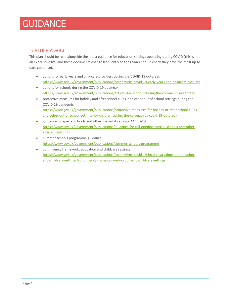## **GUIDANCE**

## FURTHER ADVICE

This plan should be read alongside the latest guidance for education settings operating during COVID (this is not an exhaustive list, and these documents change frequently so the reader should check they have the most up to date guidance).

- actions for early years and childcare providers during the COVID-19 outbreak <https://www.gov.uk/government/publications/coronavirus-covid-19-early-years-and-childcare-closures>
- actions for schools during the COVID-19 outbreak <https://www.gov.uk/government/publications/actions-for-schools-during-the-coronavirus-outbreak>
- protective measures for holiday and after-school clubs, and other out-of-school settings during the COVID-19 pandemic [https://www.gov.uk/government/publications/protective-measures-for-holiday-or-after-school-clubs](https://www.gov.uk/government/publications/protective-measures-for-holiday-or-after-school-clubs-and-other-out-of-school-settings-for-children-during-the-coronavirus-covid-19-outbreak)[and-other-out-of-school-settings-for-children-during-the-coronavirus-covid-19-outbreak](https://www.gov.uk/government/publications/protective-measures-for-holiday-or-after-school-clubs-and-other-out-of-school-settings-for-children-during-the-coronavirus-covid-19-outbreak)
- guidance for special schools and other specialist settings: COVID-19 [https://www.gov.uk/government/publications/guidance-for-full-opening-special-schools-and-other](https://www.gov.uk/government/publications/guidance-for-full-opening-special-schools-and-other-specialist-settings)[specialist-settings](https://www.gov.uk/government/publications/guidance-for-full-opening-special-schools-and-other-specialist-settings)
- Summer schools programme guidance <https://www.gov.uk/government/publications/summer-schools-programme>
- contingency framework: education and childcare settings [https://www.gov.uk/government/publications/coronavirus-covid-19-local-restrictions-in-education](https://www.gov.uk/government/publications/coronavirus-covid-19-local-restrictions-in-education-and-childcare-settings/contingency-framework-education-and-childcare-settings)[and-childcare-settings/contingency-framework-education-and-childcare-settings](https://www.gov.uk/government/publications/coronavirus-covid-19-local-restrictions-in-education-and-childcare-settings/contingency-framework-education-and-childcare-settings)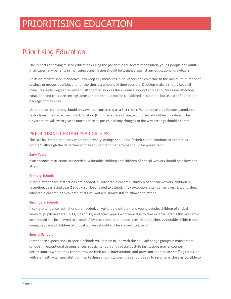## PRIORITISING EDUCATION

## <span id="page-5-0"></span>Prioritising Education

The impacts of having missed education during the pandemic are severe for children, young people and adults. In all cases, any benefits in managing transmission should be weighed against any educational drawbacks.

Decision-makers should endeavour to keep any measures in education and childcare to the minimum number of settings or groups possible, and for the shortest amount of time possible. Decision-makers should keep all measures under regular review and lift them as soon as the evidence supports doing so. Measures affecting education and childcare settings across an area should not be considered in isolation, but as part of a broader package of measures.

Attendance restrictions should only ever be considered as a last resort. Where measures include attendance restrictions, the Department for Education (DfE) may advise on any groups that should be prioritised. The Government will try to give as much notice as possible of any changes to the way settings should operate.

### PRIORITISING CERTAIN YEAR GROUPS

The DfE has stated that early years and primary settings should be "prioritised to continue to operate as normal", although the department "may advise that other groups should be prioritised".

#### **Early Years**

If attendance restrictions are needed, vulnerable children and children of critical workers should be allowed to attend.

#### **Primary Schools**

If some attendance restrictions are needed, all vulnerable children, children of critical workers, children in reception, year 1 and year 2 should still be allowed to attend. If, by exception, attendance is restricted further, vulnerable children and children of critical workers should still be allowed to attend.

#### **Secondary Schools**

If some attendance restrictions are needed, all vulnerable children and young people, children of critical workers, pupils in years 10, 11, 12 and 13, and other pupils who were due to take external exams this academic year should still be allowed to attend. If, by exception, attendance is restricted further, vulnerable children and young people and children of critical workers should still be allowed to attend.

#### **Special Schools**

Attendance expectations in special schools will remain in line with the equivalent age groups in mainstream schools. In exceptional circumstances, special schools and special post-16 institutions may encounter circumstances where they cannot provide their usual interventions and provision at adequate staffing ratios, or with staff with vital specialist training. In these circumstances, they should seek to resume as close as possible to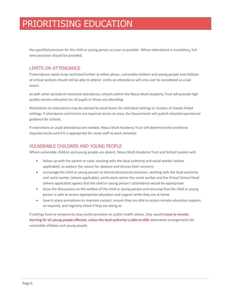## PRIORITISING EDUCATION

the specified provision for the child or young person as soon as possible. Where attendance is mandatory, fulltime provision should be provided.

### LIMITS ON ATTENDANCE

If attendance needs to be restricted further at either phase, vulnerable children and young people and children of critical workers should still be able to attend. Limits on attendance will only ever be considered as a last resort.

As with other periods of restricted attendance, schools within the Nexus Multi Academy Trust will provide high quality remote education for all pupils or those not attending.

Restrictions on attendance may be advised by local teams for individual settings or clusters of closely linked settings. If attendance restrictions are required across an area, the Government will publish detailed operational guidance for schools.

If restrictions on pupil attendance are needed, Nexus Multi Academy Trust will determine the workforce required onsite and if it is appropriate for some staff to work remotely.

### VULNERABLE CHILDREN AND YOUNG PEOPLE

Where vulnerable children and young people are absent, Nexus Multi Academy Trust and School Leaders will:

- follow up with the parent or carer, working with the local authority and social worker (where applicable), to explore the reason for absence and discuss their concerns
- encourage the child or young person to attend educational provision, working with the local authority and social worker (where applicable), particularly where the social worker and the Virtual School Head (where applicable) agrees that the child or young person's attendance would be appropriate
- focus the discussions on the welfare of the child or young person and ensuring that the child or young person is able to access appropriate education and support while they are at home
- have in place procedures to maintain contact, ensure they are able to access remote education support, as required, and regularly check if they are doing so

If settings have to temporarily stop onsite provision on public health advice, they would move to remote learning for all young people affected, unless the local authority is able to offer alternative arrangements for vulnerable children and young people.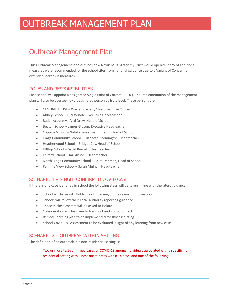## <span id="page-7-0"></span>Outbreak Management Plan

This Outbreak Management Plan outlines how Nexus Multi Academy Trust would operate if any of additional measures were recommended for the school sites from national guidance due to a Variant of Concern or extended lockdown measures.

### ROLES AND RESPONSIBILITIES

Each school will appoint a designated Single Point of Contact (SPOC). The implementation of the management plan will also be overseen by a designated person at Trust level. These persons are:

- CENTRAL TRUST Warren Carratt, Chief Executive Officer
- Abbey School Luci Windle, Executive Headteacher
- Bader Academy Viki Drew, Head of School
- Becton School James Gibson, Executive Headteacher
- Coppice School Natalie Swearman, Interim Head of School
- Crags Community School Elizabeth Normington, Headteacher
- Heatherwood School Bridget Coy, Head of School
- Hilltop School David Burdett, Headteacher
- Kelford School Kari Anson Headteacher
- North Ridge Community School Anita Denman, Head of School
- Pennine View School Sarah Mulhall, Headteacher

## SCENARIO 1 – SINGLE CONFIRMED COVID CASE

If there is one case identified in school the following steps will be taken in line with the latest guidance:

- School will liaise with Public Health passing on the relevant information
- Schools will follow their Local Authority reporting guidance
- Those in close contact will be asked to isolate.
- Consideration will be given to transport and visitor contacts
- Remote learning plan to be implemented for those isolating
- School Covid Risk Assessment to be evaluated in light of any learning from new case

### SCENARIO 2 – OUTBREAK WITHIN SETTING

The definition of an outbreak in a non-residential setting is:

Two or more test-confirmed cases of COVID-19 among individuals associated with a specific nonresidential setting with illness onset dates within 14 days, and one of the following: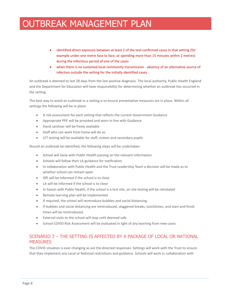- identified direct exposure between at least 2 of the test-confirmed cases in that setting (for example under one metre face to face, or spending more than 15 minutes within 2 metres) during the infectious period of one of the cases
- when there is no sustained local community transmission absence of an alternative source of infection outside the setting for the initially identified cases

An outbreak is deemed to last 28 days from the last positive diagnosis. The local authority, Public Health England and the Department for Education will have responsibility for determining whether an outbreak has occurred in the setting.

The best way to avoid an outbreak in a setting is to ensure preventative measures are in place. Within all settings the following will be in place:

- A risk assessment for each setting that reflects the current Government Guidance
- Appropriate PPE will be provided and worn in line with Guidance
- Hand sanitiser will be freely available
- Staff who can work from home will do so
- LFT testing will be available for staff, visitors and secondary pupils

Should an outbreak be identified, the following steps will be undertaken:

- School will liaise with Public Health passing on the relevant information
- Schools will follow their LA guidance for notification
- In collaboration with Public Health and the Trust Leadership Team a decision will be made as to whether school can remain open
- DfE will be informed if the school is to close
- LA will be informed if the school is to close
- In liaison with Public Health, if the school is a test site, on site testing will be reinstated
- Remote learning plan will be implemented
- If required, the school will reintroduce bubbles and social distancing.
- If bubbles and social distancing are reintroduced, staggered breaks, lunchtimes, and start and finish times will be reintroduced.
- External visits to the school will stop until deemed safe
- School COVID Risk Assessment will be evaluated in light of any learning from new cases

### SCENARIO 3 – THE SETTING IS AFFECTED BY A PACKAGE OF LOCAL OR NATIONAL MEASURES

The COVID situation is ever changing as are the directed responses. Settings will work with the Trust to ensure that they implement any Local or National restrictions and guidance. Schools will work in collaboration with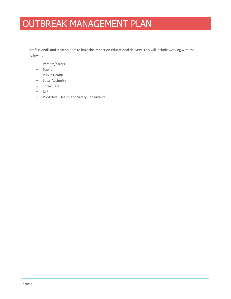professionals and stakeholders to limit the impact on educational delivery. This will include working with the following:

- Parents/carers
- Pupils
- Public Health
- Local Authority
- Social Care
- DfE
- ProAktive (Health and Safety Consultants)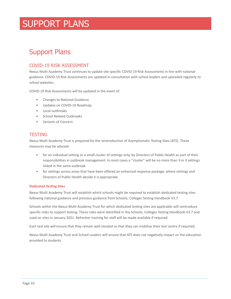## <span id="page-10-0"></span>Support Plans

## COVID-19 RISK ASSESSMENT

Nexus Multi Academy Trust continues to update site specific COVID-19 Risk Assessments in line with national guidance. COVID-19 Risk Assessments are updated in consultation with school leaders and uploaded regularly to school websites.

COVID-19 Risk Assessments will be updated in the event of:

- Changes to National Guidance
- Updates on COVID-19 Roadmap
- Local outbreaks
- School Related Outbreaks
- Variants of Concern

### **TESTING**

Nexus Multi Academy Trust is prepared for the reintroduction of Asymptomatic Testing Sites (ATS). These measures may be advised:

- for an individual setting or a small cluster of settings only, by Directors of Public Health as part of their responsibilities in outbreak management. In most cases a "cluster" will be no more than 3 or 4 settings linked in the same outbreak
- for settings across areas that have been offered an enhanced response package, where settings and Directors of Public Health decide it is appropriate

#### **Dedicated Testing Sites**

Nexus Multi Academy Trust will establish which schools might be required to establish dedicated testing sites following national guidance and previous guidance from Schools, Colleges Testing Handbook V3.7.

Schools within the Nexus Multi Academy Trust for which dedicated testing sites are applicable will reintroduce specific roles to support testing. These roles were identified in the Schools, Colleges Testing Handbook V3.7 and used on sites in January 2021. Refresher training for staff will be made available if required.

Each test site will ensure that they remain well stocked so that they can mobilise their test centre if required.

Nexus Multi Academy Trust and School Leaders will ensure that ATS does not negatively impact on the education provided to students.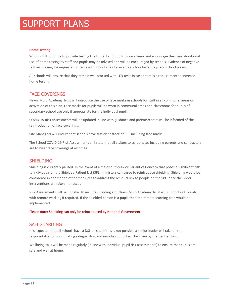#### **Home Testing**

Schools will continue to provide testing kits to staff and pupils twice a week and encourage their use. Additional use of home testing by staff and pupils may be advised and will be encouraged by schools. Evidence of negative test results may be requested for access to school sites for events such as taster days and school proms.

All schools will ensure that they remain well stocked with LFD tests in case there is a requirement to increase home testing.

### FACE COVERINGS

Nexus Multi Academy Trust will introduce the use of face masks in schools for staff in all communal areas on activation of this plan. Face masks for pupils will be worn in communal areas and classrooms for pupils of secondary school age only if appropriate for the individual pupil.

COVID-19 Risk Assessments will be updated in line with guidance and parents/carers will be informed of the reintroduction of face coverings.

Site Managers will ensure that schools have sufficient stock of PPE including face masks.

The School COVID-19 Risk Assessments still state that all visitors to school sites including parents and contractors are to wear face coverings at all times.

#### **SHIELDING**

Shielding is currently paused. In the event of a major outbreak or Variant of Concern that poses a significant risk to individuals on the Shielded Patient List (SPL), ministers can agree to reintroduce shielding. Shielding would be considered in addition to other measures to address the residual risk to people on the SPL, once the wider interventions are taken into account.

Risk Assessments will be updated to include shielding and Nexus Multi Academy Trust will support individuals with remote working if required. If the shielded person is a pupil, then the remote learning plan would be implemented.

Please note: Shielding can only be reintroduced by National Government.

#### SAFEGUARDING

It is expected that all schools have a DSL on site, if this is not possible a senior leader will take on the responsibility for coordinating safeguarding and remote support will be given by the Central Trust.

Wellbeing calls will be made regularly (in line with individual pupil risk assessments) to ensure that pupils are safe and well at home.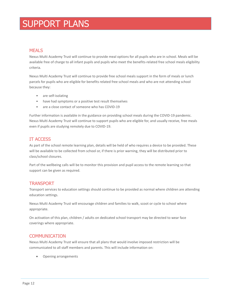### MEALS

Nexus Multi Academy Trust will continue to provide meal options for all pupils who are in school. Meals will be available free of charge to all infant pupils and pupils who meet the benefits-related free school meals eligibility criteria.

Nexus Multi Academy Trust will continue to provide free school meals support in the form of meals or lunch parcels for pupils who are eligible for benefits related free school meals and who are not attending school because they:

- are self-isolating
- have had symptoms or a positive test result themselves
- are a close contact of someone who has COVID-19

Further information is available in the guidance on providing school meals during the COVID-19 pandemic. Nexus Multi Academy Trust will continue to support pupils who are eligible for, and usually receive, free meals even if pupils are studying remotely due to COVID-19.

### IT ACCESS

As part of the school remote learning plan, details will be held of who requires a device to be provided. These will be available to be collected from school or, if there is prior warning, they will be distributed prior to class/school closures.

Part of the wellbeing calls will be to monitor this provision and pupil access to the remote learning so that support can be given as required.

### **TRANSPORT**

Transport services to education settings should continue to be provided as normal where children are attending education settings.

Nexus Multi Academy Trust will encourage children and families to walk, scoot or cycle to school where appropriate.

On activation of this plan, children / adults on dedicated school transport may be directed to wear face coverings where appropriate.

### **COMMUNICATION**

Nexus Multi Academy Trust will ensure that all plans that would involve imposed restriction will be communicated to all staff members and parents. This will include information on:

Opening arrangements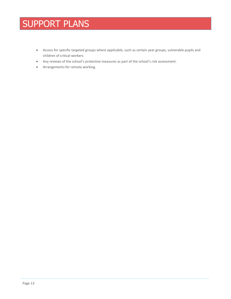- Access for specific targeted groups where applicable, such as certain year groups, vulnerable pupils and children of critical workers.
- Any reviews of the school's protective measures as part of the school's risk assessment.
- Arrangements for remote working.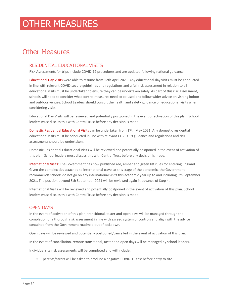## <span id="page-14-0"></span>Other Measures

### RESIDENTIAL EDUCATIONAL VISITS

Risk Assessments for trips include COVID-19 procedures and are updated following national guidance.

Educational Day Visits were able to resume from 12th April 2021. Any educational day visits must be conducted in line with relevant COVID-secure guidelines and regulations and a full risk assessment in relation to all educational visits must be undertaken to ensure they can be undertaken safely. As part of this risk assessment, schools will need to consider what control measures need to be used and follow wider advice on visiting indoor and outdoor venues. School Leaders should consult the health and safety guidance on educational visits when considering visits.

Educational Day Visits will be reviewed and potentially postponed in the event of activation of this plan. School leaders must discuss this with Central Trust before any decision is made.

Domestic Residential Educational Visits can be undertaken from 17th May 2021. Any domestic residential educational visits must be conducted in line with relevant COVID-19 guidance and regulations and risk assessments should be undertaken.

Domestic Residential Educational Visits will be reviewed and potentially postponed in the event of activation of this plan. School leaders must discuss this with Central Trust before any decision is made.

International Visits: The Government has now published red, amber and green list rules for entering England. Given the complexities attached to international travel at this stage of the pandemic, the Government recommends schools do not go on any international visits this academic year up to and including 5th September 2021. The position beyond 5th September 2021 will be reviewed again in advance of Step 4.

International Visits will be reviewed and potentially postponed in the event of activation of this plan. School leaders must discuss this with Central Trust before any decision is made.

### OPEN DAYS

In the event of activation of this plan, transitional, taster and open days will be managed through the completion of a thorough risk assessment in line with agreed system of controls and align with the advice contained from the Government roadmap out of lockdown.

Open days will be reviewed and potentially postponed/cancelled in the event of activation of this plan.

In the event of cancellation, remote transitional, taster and open days will be managed by school leaders.

Individual site risk assessments will be completed and will include:

• parents/carers will be asked to produce a negative COVID-19 test before entry to site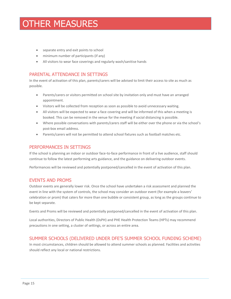- separate entry and exit points to school
- minimum number of participants (if any)
- All visitors to wear face coverings and regularly wash/sanitise hands

### PARENTAL ATTENDANCE IN SETTINGS

In the event of activation of this plan, parents/carers will be advised to limit their access to site as much as possible.

- Parents/carers or visitors permitted on school site by invitation only and must have an arranged appointment.
- Visitors will be collected from reception as soon as possible to avoid unnecessary waiting.
- All visitors will be expected to wear a face covering and will be informed of this when a meeting is booked. This can be removed in the venue for the meeting if social distancing is possible.
- Where possible conversations with parents/carers staff will be either over the phone or via the school's post-box email address.
- Parents/carers will not be permitted to attend school fixtures such as football matches etc.

### PERFORMANCES IN SETTINGS

If the school is planning an indoor or outdoor face-to-face performance in front of a live audience, staff should continue to follow the latest performing arts guidance, and the guidance on delivering outdoor events.

Performances will be reviewed and potentially postponed/cancelled in the event of activation of this plan.

### EVENTS AND PROMS

Outdoor events are generally lower risk. Once the school have undertaken a risk assessment and planned the event in line with the system of controls, the school may consider an outdoor event (for example a leavers' celebration or prom) that caters for more than one bubble or consistent group, as long as the groups continue to be kept separate.

Events and Proms will be reviewed and potentially postponed/cancelled in the event of activation of this plan.

Local authorities, Directors of Public Health (DsPH) and PHE Health Protection Teams (HPTs) may recommend precautions in one setting, a cluster of settings, or across an entire area.

## SUMMER SCHOOLS (DELIVERED UNDER DFE'S SUMMER SCHOOL FUNDING SCHEME)

In most circumstances, children should be allowed to attend summer schools as planned. Facilities and activities should reflect any local or national restrictions.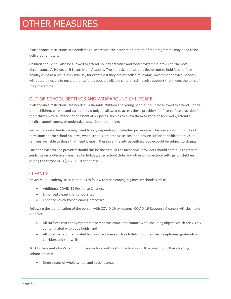If attendance restrictions are needed as a last resort, the academic element of the programme may need to be delivered remotely.

Children should still also be allowed to attend holiday activities and food programme provision "in most circumstances". However, if Nexus Multi Academy Trust and School Leaders decide not to hold face-to-face holiday clubs as a result of COVID-19, for example if they are cancelled following Government advice, schools will operate flexibly to ensure that as far as possible eligible children still receive support that meets the aims of the programme.

### OUT-OF-SCHOOL SETTINGS AND WRAPAROUND CHILDCARE

If attendance restrictions are needed, vulnerable children and young people should be allowed to attend. For all other children, parents and carers should only be allowed to access these providers for face-to-face provision for their children for a limited set of essential purposes, such as to allow them to go to or seek work, attend a medical appointment, or undertake education and training.

Restrictions on attendance may need to vary depending on whether provision will be operating during school term-time and/or school holidays, when schools are otherwise closed to ensure sufficient childcare provision remains available to those that need it most. Therefore, the advice outlined above could be subject to change.

Further advice will be provided should this be the case. In the meantime, providers should continue to refer to guidance on protective measures for holiday, after school clubs and other out-of-school settings for children during the coronavirus (COVID-19) pandemic.

## **CLEANING**

Nexus Multi Academy Trust continues to follow robust cleaning regimes in schools such as:

- Additional COVID-19 Response Cleaners
- Enhanced cleaning of school sites
- Enhance Touch-Point cleaning processes

Following the identification of the person with COVID-19 symptoms, COVID-19 Response Cleaners will clean and disinfect:

- All surfaces that the symptomatic person has come into contact with, including objects which are visibly contaminated with body fluids; and
- All potentially contaminated high-contact areas such as toilets, door handles, telephones, grab-rails in corridors and stairwells

16.3 In the event of a Variant of Concern or local outbreak consideration will be given to further cleaning enhancements:

Deep cleans of whole school and specific areas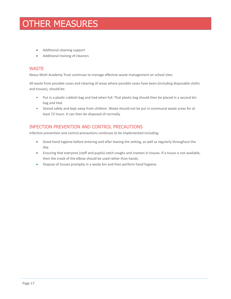- Additional cleaning support
- Additional training of cleaners

### **WASTE**

Nexus Multi Academy Trust continues to manage effective waste management on school sites.

All waste from possible cases and cleaning of areas where possible cases have been (including disposable cloths and tissues), should be:

- Put in a plastic rubbish bag and tied when full. That plastic bag should then be placed in a second bin bag and tied.
- Stored safely and kept away from children. Waste should not be put in communal waste areas for at least 72 hours. It can then be disposed of normally.

## INFECTION PREVENTION AND CONTROL PRECAUTIONS

Infection prevention and control precautions continues to be implemented including:

- Good hand hygiene before entering and after leaving the setting, as well as regularly throughout the day.
- Ensuring that everyone (staff and pupils) catch coughs and sneezes in tissues. If a tissue is not available, then the crook of the elbow should be used rather than hands.
- Dispose of tissues promptly in a waste bin and then perform hand hygiene.